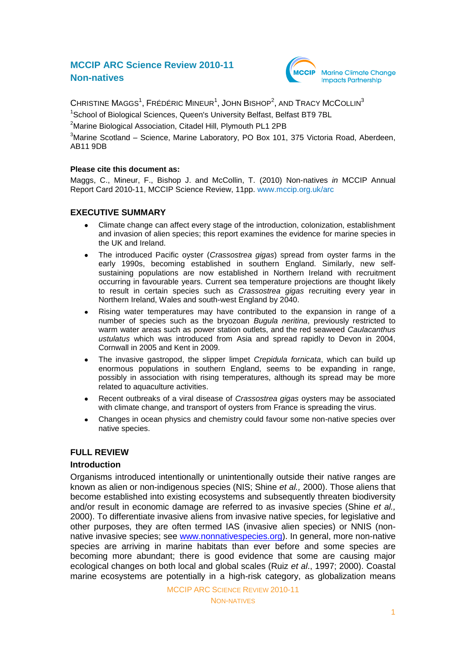# **MCCIP ARC Science Review 2010-11 Non-natives**



CHRISTINE MAGGS<sup>1</sup>, FRÉDÉRIC MINEUR<sup>1</sup>, JOHN BISHOP<sup>2</sup>, AND TRACY MCCOLLIN<sup>3</sup>

<sup>1</sup>School of Biological Sciences, Queen's University Belfast, Belfast BT9 7BL

<sup>2</sup>Marine Biological Association, Citadel Hill, Plymouth PL1 2PB

<sup>3</sup>Marine Scotland – Science, Marine Laboratory, PO Box 101, 375 Victoria Road, Aberdeen, AB11 9DB

### **Please cite this document as:**

Maggs, C., Mineur, F., Bishop J. and McCollin, T. (2010) Non-natives *in* MCCIP Annual Report Card 2010-11, MCCIP Science Review, 11pp. [www.mccip.org.uk/arc](http://www.mccip.org.uk/arc)

## **EXECUTIVE SUMMARY**

- Climate change can affect every stage of the introduction, colonization, establishment  $\bullet$ and invasion of alien species; this report examines the evidence for marine species in the UK and Ireland.
- The introduced Pacific oyster (*Crassostrea gigas*) spread from oyster farms in the early 1990s, becoming established in southern England. Similarly, new selfsustaining populations are now established in Northern Ireland with recruitment occurring in favourable years. Current sea temperature projections are thought likely to result in certain species such as *Crassostrea gigas* recruiting every year in Northern Ireland, Wales and south-west England by 2040.
- Rising water temperatures may have contributed to the expansion in range of a  $\bullet$ number of species such as the bryozoan *Bugula neritina*, previously restricted to warm water areas such as power station outlets, and the red seaweed *Caulacanthus ustulatus* which was introduced from Asia and spread rapidly to Devon in 2004, Cornwall in 2005 and Kent in 2009.
- The invasive gastropod, the slipper limpet *Crepidula fornicata*, which can build up enormous populations in southern England, seems to be expanding in range, possibly in association with rising temperatures, although its spread may be more related to aquaculture activities.
- Recent outbreaks of a viral disease of *Crassostrea gigas* oysters may be associated  $\bullet$ with climate change, and transport of oysters from France is spreading the virus.
- Changes in ocean physics and chemistry could favour some non-native species over native species.

## **FULL REVIEW**

#### **Introduction**

Organisms introduced intentionally or unintentionally outside their native ranges are known as alien or non-indigenous species (NIS; Shine *et al.,* 2000). Those aliens that become established into existing ecosystems and subsequently threaten biodiversity and/or result in economic damage are referred to as invasive species (Shine *et al.,* 2000). To differentiate invasive aliens from invasive native species, for legislative and other purposes, they are often termed IAS (invasive alien species) or NNIS (nonnative invasive species; see [www.nonnativespecies.org\)](file://lowfile3/mccip$/Records%20&%20Docs/Reports/Task8-%20ARC/ARC2010/Final%20Full%20Science%20reviews/Final%20Pretty%20Doc/Word%20files/www.nonnativespecies.org). In general, more non-native species are arriving in marine habitats than ever before and some species are becoming more abundant; there is good evidence that some are causing major ecological changes on both local and global scales (Ruiz *et al*., 1997; 2000). Coastal marine ecosystems are potentially in a high-risk category, as globalization means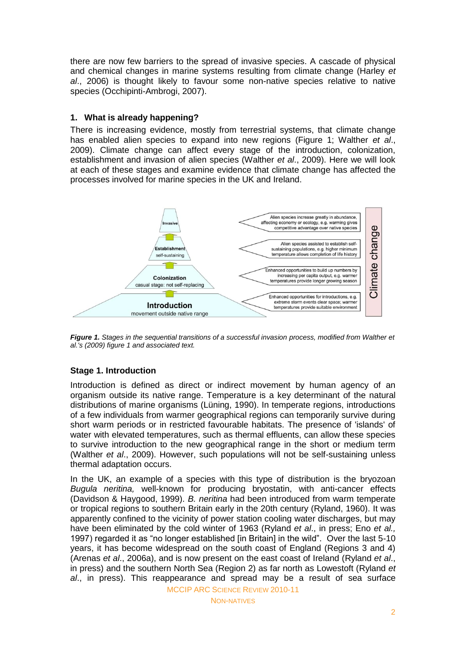there are now few barriers to the spread of invasive species. A cascade of physical and chemical changes in marine systems resulting from climate change (Harley *et al*., 2006) is thought likely to favour some non-native species relative to native species (Occhipinti-Ambrogi, 2007).

### **1. What is already happening?**

There is increasing evidence, mostly from terrestrial systems, that climate change has enabled alien species to expand into new regions (Figure 1; Walther *et al*., 2009). Climate change can affect every stage of the introduction, colonization, establishment and invasion of alien species (Walther *et al*., 2009). Here we will look at each of these stages and examine evidence that climate change has affected the processes involved for marine species in the UK and Ireland.



*Figure 1. Stages in the sequential transitions of a successful invasion process, modified from Walther et al.'s (2009) figure 1 and associated text.*

## **Stage 1. Introduction**

Introduction is defined as direct or indirect movement by human agency of an organism outside its native range. Temperature is a key determinant of the natural distributions of marine organisms (Lüning, 1990). In temperate regions, introductions of a few individuals from warmer geographical regions can temporarily survive during short warm periods or in restricted favourable habitats. The presence of 'islands' of water with elevated temperatures, such as thermal effluents, can allow these species to survive introduction to the new geographical range in the short or medium term (Walther *et al*., 2009). However, such populations will not be self-sustaining unless thermal adaptation occurs.

In the UK, an example of a species with this type of distribution is the bryozoan *Bugula neritina,* well-known for producing bryostatin, with anti[-cancer](http://en.wikipedia.org/wiki/Cancer) effects (Davidson & Haygood, 1999). *B. neritina* had been introduced from warm temperate or tropical regions to southern Britain early in the 20th century (Ryland, 1960). It was apparently confined to the vicinity of power station cooling water discharges, but may have been eliminated by the cold winter of 1963 (Ryland *et al*., in press; Eno *et al.,* 1997) regarded it as "no longer established [in Britain] in the wild". Over the last 5-10 years, it has become widespread on the south coast of England (Regions 3 and 4) (Arenas *et al*., 2006a), and is now present on the east coast of Ireland (Ryland *et al*., in press) and the southern North Sea (Region 2) as far north as Lowestoft (Ryland *et al*., in press). This reappearance and spread may be a result of sea surface

MCCIP ARC SCIENCE REVIEW 2010-11

NON-NATIVES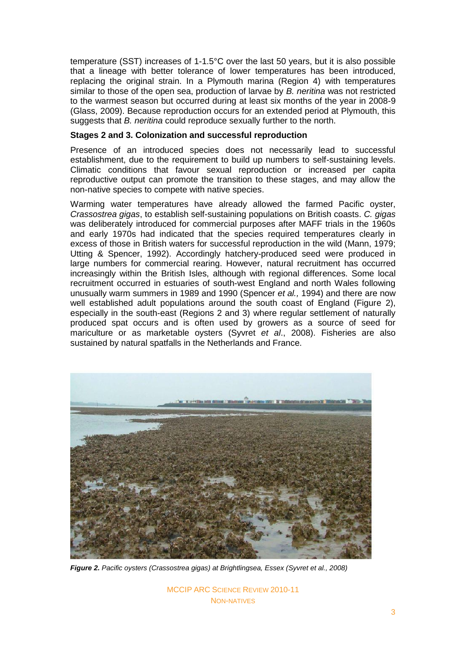temperature (SST) increases of 1-1.5°C over the last 50 years, but it is also possible that a lineage with better tolerance of lower temperatures has been introduced, replacing the original strain. In a Plymouth marina (Region 4) with temperatures similar to those of the open sea, production of larvae by *B. neritina* was not restricted to the warmest season but occurred during at least six months of the year in 2008-9 (Glass, 2009). Because reproduction occurs for an extended period at Plymouth, this suggests that *B. neritina* could reproduce sexually further to the north.

#### **Stages 2 and 3. Colonization and successful reproduction**

Presence of an introduced species does not necessarily lead to successful establishment, due to the requirement to build up numbers to self-sustaining levels. Climatic conditions that favour sexual reproduction or increased per capita reproductive output can promote the transition to these stages, and may allow the non-native species to compete with native species.

Warming water temperatures have already allowed the farmed Pacific oyster, *Crassostrea gigas*, to establish self-sustaining populations on British coasts. *C. gigas*  was deliberately introduced for commercial purposes after MAFF trials in the 1960s and early 1970s had indicated that the species required temperatures clearly in excess of those in British waters for successful reproduction in the wild (Mann, 1979; Utting & Spencer, 1992). Accordingly hatchery-produced seed were produced in large numbers for commercial rearing. However, natural recruitment has occurred increasingly within the British Isles, although with regional differences. Some local recruitment occurred in estuaries of south-west England and north Wales following unusually warm summers in 1989 and 1990 (Spencer *et al.,* 1994) and there are now well established adult populations around the south coast of England (Figure 2), especially in the south-east (Regions 2 and 3) where regular settlement of naturally produced spat occurs and is often used by growers as a source of seed for mariculture or as marketable oysters (Syvret *et al*., 2008). Fisheries are also sustained by natural spatfalls in the Netherlands and France.



*Figure 2. Pacific oysters (Crassostrea gigas) at Brightlingsea, Essex (Syvret et al., 2008)*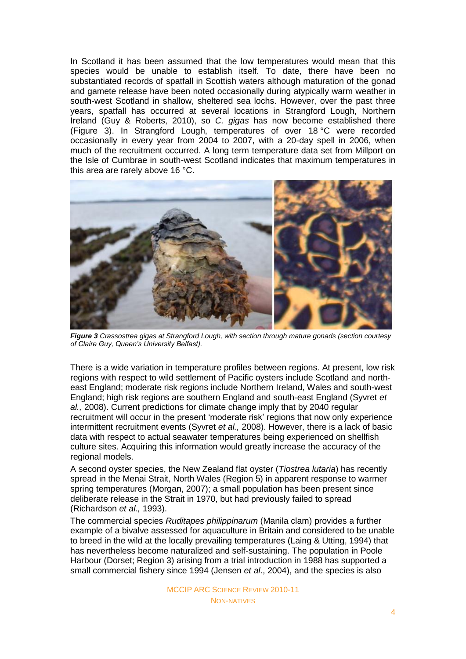In Scotland it has been assumed that the low temperatures would mean that this species would be unable to establish itself. To date, there have been no substantiated records of spatfall in Scottish waters although maturation of the gonad and gamete release have been noted occasionally during atypically warm weather in south-west Scotland in shallow, sheltered sea lochs. However, over the past three years, spatfall has occurred at several locations in Strangford Lough, Northern Ireland (Guy & Roberts, 2010), so *C. gigas* has now become established there (Figure 3). In Strangford Lough, temperatures of over 18 °C were recorded occasionally in every year from 2004 to 2007, with a 20-day spell in 2006, when much of the recruitment occurred. A long term temperature data set from Millport on the Isle of Cumbrae in south-west Scotland indicates that maximum temperatures in this area are rarely above 16 °C.



*Figure 3 Crassostrea gigas at Strangford Lough, with section through mature gonads (section courtesy of Claire Guy, Queen's University Belfast).*

There is a wide variation in temperature profiles between regions. At present, low risk regions with respect to wild settlement of Pacific oysters include Scotland and northeast England; moderate risk regions include Northern Ireland, Wales and south-west England; high risk regions are southern England and south-east England (Syvret *et al.,* 2008). Current predictions for climate change imply that by 2040 regular recruitment will occur in the present 'moderate risk' regions that now only experience intermittent recruitment events (Syvret *et al.,* 2008). However, there is a lack of basic data with respect to actual seawater temperatures being experienced on shellfish culture sites. Acquiring this information would greatly increase the accuracy of the regional models.

A second oyster species, the New Zealand flat oyster (*Tiostrea lutaria*) has recently spread in the Menai Strait, North Wales (Region 5) in apparent response to warmer spring temperatures (Morgan, 2007); a small population has been present since deliberate release in the Strait in 1970, but had previously failed to spread (Richardson *et al.,* 1993).

The commercial species *Ruditapes philippinarum* (Manila clam) provides a further example of a bivalve assessed for aquaculture in Britain and considered to be unable to breed in the wild at the locally prevailing temperatures (Laing & Utting, 1994) that has nevertheless become naturalized and self-sustaining. The population in Poole Harbour (Dorset; Region 3) arising from a trial introduction in 1988 has supported a small commercial fishery since 1994 (Jensen *et al*., 2004), and the species is also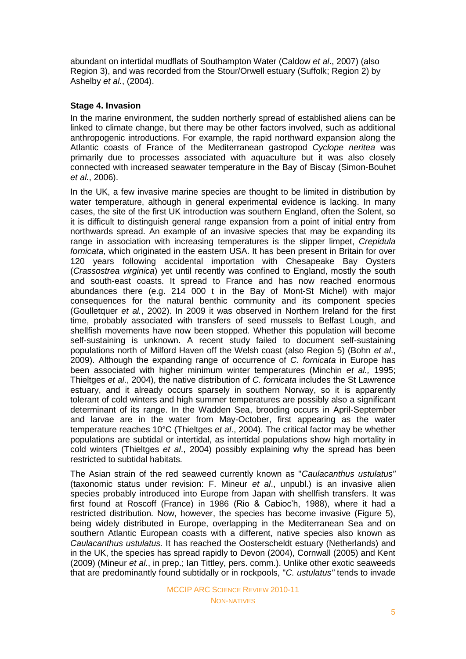abundant on intertidal mudflats of Southampton Water (Caldow *et al*., 2007) (also Region 3), and was recorded from the Stour/Orwell estuary (Suffolk; Region 2) by Ashelby *et al.*, (2004).

### **Stage 4. Invasion**

In the marine environment, the sudden northerly spread of established aliens can be linked to climate change, but there may be other factors involved, such as additional anthropogenic introductions. For example, the rapid northward expansion along the Atlantic coasts of France of the Mediterranean gastropod *Cyclope neritea* was primarily due to processes associated with aquaculture but it was also closely connected with increased seawater temperature in the Bay of Biscay (Simon-Bouhet *et al.*, 2006).

In the UK, a few invasive marine species are thought to be limited in distribution by water temperature, although in general experimental evidence is lacking. In many cases, the site of the first UK introduction was southern England, often the Solent, so it is difficult to distinguish general range expansion from a point of initial entry from northwards spread. An example of an invasive species that may be expanding its range in association with increasing temperatures is the slipper limpet, *Crepidula fornicata*, which originated in the eastern USA. It has been present in Britain for over 120 years following accidental importation with Chesapeake Bay Oysters (*Crassostrea virginica*) yet until recently was confined to England, mostly the south and south-east coasts. It spread to France and has now reached enormous abundances there (e.g. 214 000 t in the Bay of Mont-St Michel) with major consequences for the natural benthic community and its component species (Goulletquer *et al.*, 2002). In 2009 it was observed in Northern Ireland for the first time, probably associated with transfers of seed mussels to Belfast Lough, and shellfish movements have now been stopped. Whether this population will become self-sustaining is unknown. A recent study failed to document self-sustaining populations north of Milford Haven off the Welsh coast (also Region 5) (Bohn *et al*., 2009). Although the expanding range of occurrence of *C. fornicata* in Europe has been associated with higher minimum winter temperatures (Minchin *et al.,* 1995; Thieltges *et al*., 2004), the native distribution of *C. fornicata* includes the St Lawrence estuary, and it already occurs sparsely in southern Norway, so it is apparently tolerant of cold winters and high summer temperatures are possibly also a significant determinant of its range. In the Wadden Sea, brooding occurs in April-September and larvae are in the water from May-October, first appearing as the water temperature reaches 10°C (Thieltges *et al*., 2004). The critical factor may be whether populations are subtidal or intertidal, as intertidal populations show high mortality in cold winters (Thieltges *et al*., 2004) possibly explaining why the spread has been restricted to subtidal habitats.

The Asian strain of the red seaweed currently known as "*Caulacanthus ustulatus"* (taxonomic status under revision: F. Mineur *et al*., unpubl.) is an invasive alien species probably introduced into Europe from Japan with shellfish transfers. It was first found at Roscoff (France) in 1986 (Rio & Cabioc'h, 1988), where it had a restricted distribution. Now, however, the species has become invasive (Figure 5), being widely distributed in Europe, overlapping in the Mediterranean Sea and on southern Atlantic European coasts with a different, native species also known as *Caulacanthus ustulatus.* It has reached the Oosterscheldt estuary (Netherlands) and in the UK, the species has spread rapidly to Devon (2004), Cornwall (2005) and Kent (2009) (Mineur *et al*., in prep.; Ian Tittley, pers. comm.). Unlike other exotic seaweeds that are predominantly found subtidally or in rockpools, "*C. ustulatus"* tends to invade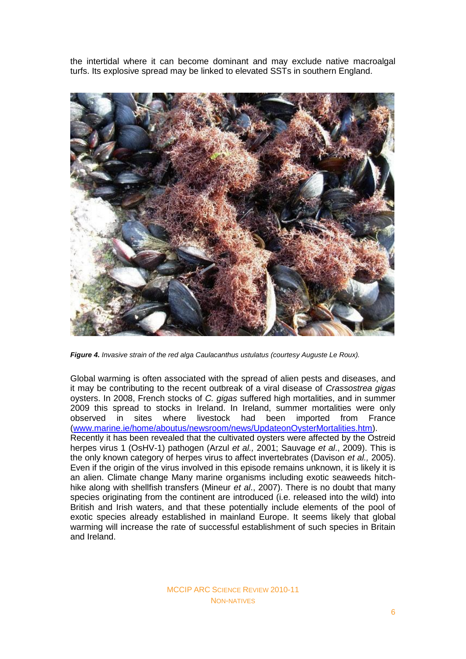the intertidal where it can become dominant and may exclude native macroalgal turfs. Its explosive spread may be linked to elevated SSTs in southern England.



*Figure 4. Invasive strain of the red alga Caulacanthus ustulatus (courtesy Auguste Le Roux).*

Global warming is often associated with the spread of alien pests and diseases, and it may be contributing to the recent outbreak of a viral disease of *Crassostrea gigas* oysters. In 2008, French stocks of *C. gigas* suffered high mortalities, and in summer 2009 this spread to stocks in Ireland. In Ireland, summer mortalities were only observed in sites where livestock had been imported from France [\(www.marine.ie/home/aboutus/newsroom/news/UpdateonOysterMortalities.htm\)](http://www.marine.ie/home/aboutus/newsroom/news/UpdateonOysterMortalities.htm). Recently it has been revealed that the cultivated oysters were affected by the Ostreid herpes virus 1 (OsHV-1) pathogen (Arzul *et al.,* 2001; Sauvage *et al*., 2009). This is the only known category of herpes virus to affect invertebrates (Davison *et al.,* 2005). Even if the origin of the virus involved in this episode remains unknown, it is likely it is an alien. Climate change Many marine organisms including exotic seaweeds hitchhike along with shellfish transfers (Mineur *et al*., 2007). There is no doubt that many species originating from the continent are introduced (i.e. released into the wild) into British and Irish waters, and that these potentially include elements of the pool of exotic species already established in mainland Europe. It seems likely that global warming will increase the rate of successful establishment of such species in Britain and Ireland.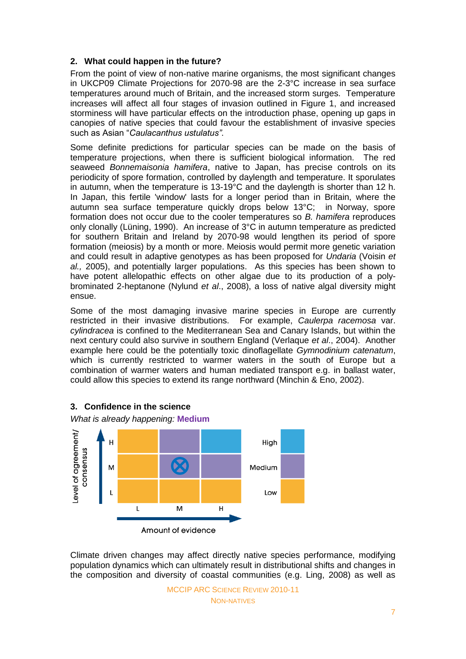### **2. What could happen in the future?**

From the point of view of non-native marine organisms, the most significant changes in UKCP09 Climate Projections for 2070-98 are the 2-3°C increase in sea surface temperatures around much of Britain, and the increased storm surges. Temperature increases will affect all four stages of invasion outlined in Figure 1, and increased storminess will have particular effects on the introduction phase, opening up gaps in canopies of native species that could favour the establishment of invasive species such as Asian "Caulacanthus ustulatus".

Some definite predictions for particular species can be made on the basis of temperature projections, when there is sufficient biological information. The red seaweed *Bonnemaisonia hamifera*, native to Japan, has precise controls on its periodicity of spore formation, controlled by daylength and temperature. It sporulates in autumn, when the temperature is 13-19°C and the daylength is shorter than 12 h. In Japan, this fertile 'window' lasts for a longer period than in Britain, where the autumn sea surface temperature quickly drops below 13°C; in Norway, spore formation does not occur due to the cooler temperatures so *B. hamifera* reproduces only clonally (Lüning, 1990). An increase of 3°C in autumn temperature as predicted for southern Britain and Ireland by 2070-98 would lengthen its period of spore formation (meiosis) by a month or more. Meiosis would permit more genetic variation and could result in adaptive genotypes as has been proposed for *Undaria* (Voisin *et al.,* 2005), and potentially larger populations. As this species has been shown to have potent allelopathic effects on other algae due to its production of a polybrominated 2-heptanone (Nylund *et al*., 2008), a loss of native algal diversity might ensue.

Some of the most damaging invasive marine species in Europe are currently restricted in their invasive distributions. For example, *Caulerpa racemosa* var. *cylindracea* is confined to the Mediterranean Sea and Canary Islands, but within the next century could also survive in southern England (Verlaque *et al*., 2004). Another example here could be the potentially toxic dinoflagellate *Gymnodinium catenatum*, which is currently restricted to warmer waters in the south of Europe but a combination of warmer waters and human mediated transport e.g. in ballast water, could allow this species to extend its range northward (Minchin & Eno, 2002).



#### **3. Confidence in the science**

Climate driven changes may affect directly native species performance, modifying population dynamics which can ultimately result in distributional shifts and changes in the composition and diversity of coastal communities (e.g. Ling, 2008) as well as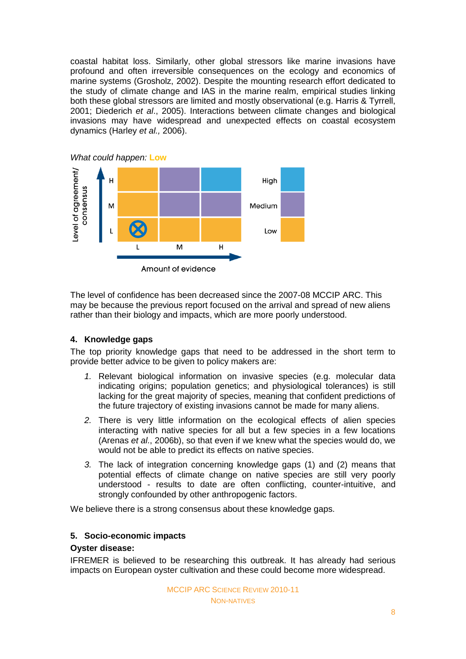coastal habitat loss. Similarly, other global stressors like marine invasions have profound and often irreversible consequences on the ecology and economics of marine systems (Grosholz, 2002). Despite the mounting research effort dedicated to the study of climate change and IAS in the marine realm, empirical studies linking both these global stressors are limited and mostly observational (e.g. Harris & Tyrrell, 2001; Diederich *et al*., 2005). Interactions between climate changes and biological invasions may have widespread and unexpected effects on coastal ecosystem dynamics (Harley *et al.,* 2006).



The level of confidence has been decreased since the 2007-08 MCCIP ARC. This may be because the previous report focused on the arrival and spread of new aliens rather than their biology and impacts, which are more poorly understood.

## **4. Knowledge gaps**

The top priority knowledge gaps that need to be addressed in the short term to provide better advice to be given to policy makers are:

- *1.* Relevant biological information on invasive species (e.g. molecular data indicating origins; population genetics; and physiological tolerances) is still lacking for the great majority of species, meaning that confident predictions of the future trajectory of existing invasions cannot be made for many aliens.
- *2.* There is very little information on the ecological effects of alien species interacting with native species for all but a few species in a few locations (Arenas *et al*., 2006b), so that even if we knew what the species would do, we would not be able to predict its effects on native species.
- *3.* The lack of integration concerning knowledge gaps (1) and (2) means that potential effects of climate change on native species are still very poorly understood - results to date are often conflicting, counter-intuitive, and strongly confounded by other anthropogenic factors.

We believe there is a strong consensus about these knowledge gaps.

#### **5. Socio-economic impacts**

#### **Oyster disease:**

IFREMER is believed to be researching this outbreak. It has already had serious impacts on European oyster cultivation and these could become more widespread.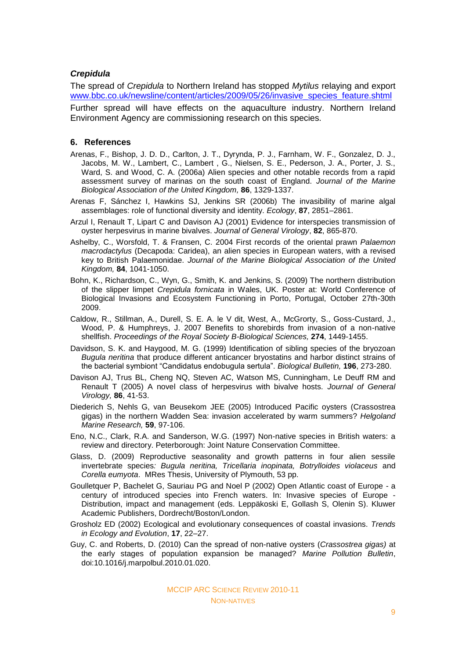#### *Crepidula*

The spread of *Crepidula* to Northern Ireland has stopped *Mytilus* relaying and export [www.bbc.co.uk/newsline/content/articles/2009/05/26/invasive\\_species\\_feature.shtml](http://www.bbc.co.uk/newsline/content/articles/2009/05/26/invasive_species_feature.shtml) Further spread will have effects on the aquaculture industry. Northern Ireland Environment Agency are commissioning research on this species.

#### **6. References**

- Arenas, F., Bishop, J. D. D., Carlton, J. T., Dyrynda, P. J., Farnham, W. F., Gonzalez, D. J., Jacobs, M. W., Lambert, C., Lambert , G., Nielsen, S. E., Pederson, J. A., Porter, J. S., Ward, S. and Wood, C. A. (2006a) Alien species and other notable records from a rapid assessment survey of marinas on the south coast of England. *Journal of the Marine Biological Association of the United Kingdom,* **86**, 1329-1337.
- Arenas F, Sánchez I, Hawkins SJ, Jenkins SR (2006b) The invasibility of marine algal assemblages: role of functional diversity and identity. *Ecology*, **87**, 2851–2861.
- Arzul I, Renault T, Lipart C and Davison AJ (2001) Evidence for interspecies transmission of oyster herpesvirus in marine bivalves. *Journal of General Virology*, **82**, 865-870.
- Ashelby, C., Worsfold, T. & Fransen, C. 2004 First records of the oriental prawn *Palaemon macrodactylus* (Decapoda: Caridea), an alien species in European waters, with a revised key to British Palaemonidae. *Journal of the Marine Biological Association of the United Kingdom,* **84**, 1041-1050.
- Bohn, K., Richardson, C., Wyn, G., Smith, K. and Jenkins, S. (2009) The northern distribution of the slipper limpet *Crepidula fornicata* in Wales, UK. Poster at: World Conference of Biological Invasions and Ecosystem Functioning in Porto, Portugal, October 27th-30th 2009.
- Caldow, R., Stillman, A., Durell, S. E. A. le V dit, West, A., McGrorty, S., Goss-Custard, J., Wood, P. & Humphreys, J. 2007 Benefits to shorebirds from invasion of a non-native shellfish. *Proceedings of the Royal Society B-Biological Sciences,* **274**, 1449-1455.
- Davidson, S. K. and Haygood, M. G. (1999) Identification of sibling species of the bryozoan *Bugula neritina* that produce different anticancer bryostatins and harbor distinct strains of the bacterial symbiont ―Candidatus endobugula sertula‖. *Biological Bulletin,* **196**, 273-280.
- Davison AJ, Trus BL, Cheng NQ, Steven AC, Watson MS, Cunningham, Le Deuff RM and Renault T (2005) A novel class of herpesvirus with bivalve hosts. *Journal of General Virology,* **86**, 41-53.
- Diederich S, Nehls G, van Beusekom JEE (2005) Introduced Pacific oysters (Crassostrea gigas) in the northern Wadden Sea: invasion accelerated by warm summers? *Helgoland Marine Research,* **59**, 97-106.
- Eno, N.C., Clark, R.A. and Sanderson, W.G. (1997) Non-native species in British waters: a review and directory. Peterborough: Joint Nature Conservation Committee.
- Glass, D. (2009) Reproductive seasonality and growth patterns in four alien sessile invertebrate species*: Bugula neritina, Tricellaria inopinata, Botrylloides violaceus* and *Corella eumyota*. MRes Thesis, University of Plymouth, 53 pp.
- Goulletquer P, Bachelet G, Sauriau PG and Noel P (2002) Open Atlantic coast of Europe a century of introduced species into French waters. In: Invasive species of Europe - Distribution, impact and management (eds. Leppäkoski E, Gollash S, Olenin S). Kluwer Academic Publishers, Dordrecht/Boston/London.
- Grosholz ED (2002) Ecological and evolutionary consequences of coastal invasions. *Trends in Ecology and Evolution*, **17**, 22–27.
- Guy, C. and Roberts, D. (2010) Can the spread of non-native oysters (*Crassostrea gigas)* at the early stages of population expansion be managed? *Marine Pollution Bulletin*, doi:10.1016/j.marpolbul.2010.01.020.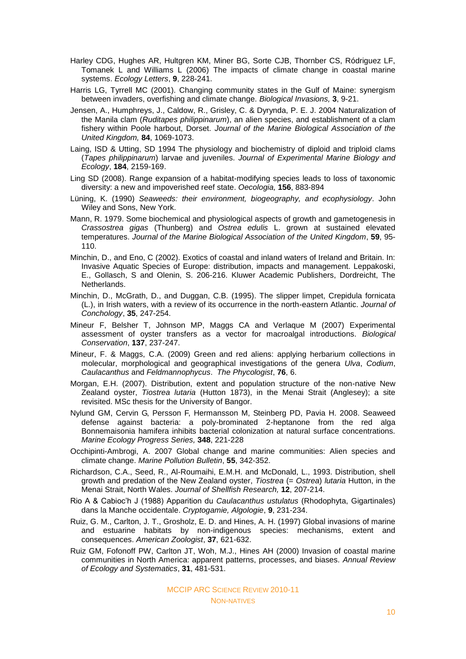- Harley CDG, Hughes AR, Hultgren KM, Miner BG, Sorte CJB, Thornber CS, Ródriguez LF, Tomanek L and Williams L (2006) [The impacts of climate change in coastal marine](http://apps.isiknowledge.com/full_record.do?product=WOS&search_mode=GeneralSearch&qid=26&SID=T1lM9GkdhKN6b61oJlp&page=1&doc=7)  [systems.](http://apps.isiknowledge.com/full_record.do?product=WOS&search_mode=GeneralSearch&qid=26&SID=T1lM9GkdhKN6b61oJlp&page=1&doc=7) *Ecology Letters*, **9**, 228-241.
- Harris LG, Tyrrell MC (2001). Changing community states in the Gulf of Maine: synergism between invaders, overfishing and climate change. *Biological Invasions,* **3**, 9-21.
- Jensen, A., Humphreys, J., Caldow, R., Grisley, C. & Dyrynda, P. E. J. 2004 Naturalization of the Manila clam (*Ruditapes philippinarum*), an alien species, and establishment of a clam fishery within Poole harbout, Dorset. *Journal of the Marine Biological Association of the United Kingdom,* **84**, 1069-1073.
- Laing, ISD & Utting, SD 1994 The physiology and biochemistry of diploid and triploid clams (*Tapes philippinarum*) larvae and juveniles. *Journal of Experimental Marine Biology and Ecology*, **184**, 2159-169.
- Ling SD (2008). [Range expansion of a habitat-modifying species leads to loss of taxonomic](http://apps.isiknowledge.com/full_record.do?product=WOS&search_mode=GeneralSearch&qid=8&SID=T1lM9GkdhKN6b61oJlp&page=1&doc=1)  [diversity: a new and impoverished reef state.](http://apps.isiknowledge.com/full_record.do?product=WOS&search_mode=GeneralSearch&qid=8&SID=T1lM9GkdhKN6b61oJlp&page=1&doc=1) *Oecologia,* **156**, 883-894
- Lüning, K. (1990) *Seaweeds: their environment, biogeography, and ecophysiology*. John Wiley and Sons, New York.
- Mann, R. 1979. Some biochemical and physiological aspects of growth and gametogenesis in *Crassostrea gigas* (Thunberg) and *Ostrea edulis* L. grown at sustained elevated temperatures. *Journal of the Marine Biological Association of the United Kingdom*, **59**, 95- 110.
- Minchin, D., and Eno, C (2002). Exotics of coastal and inland waters of Ireland and Britain. In: Invasive Aquatic Species of Europe: distribution, impacts and management. Leppakoski, E., Gollasch, S and Olenin, S. 206-216. Kluwer Academic Publishers, Dordreicht, The Netherlands.
- Minchin, D., McGrath, D., and Duggan, C.B. (1995). The slipper limpet, Crepidula fornicata (L.), in Irish waters, with a review of its occurrence in the north-eastern Atlantic. *Journal of Conchology*, **35**, 247-254.
- Mineur F, Belsher T, Johnson MP, Maggs CA and Verlaque M (2007) Experimental assessment of oyster transfers as a vector for macroalgal introductions. *Biological Conservation*, **137**, 237-247.
- Mineur, F. & Maggs, C.A. (2009) Green and red aliens: applying herbarium collections in molecular, morphological and geographical investigations of the genera *Ulva*, *Codium*, *Caulacanthus* and *Feldmannophycus*. *The Phycologist*, **76**, 6.
- Morgan, E.H. (2007). Distribution, extent and population structure of the non-native New Zealand oyster, *Tiostrea lutaria* (Hutton 1873), in the Menai Strait (Anglesey); a site revisited. MSc thesis for the University of Bangor.
- Nylund GM, Cervin G, Persson F, Hermansson M, Steinberg PD, Pavia H. 2008. Seaweed defense against bacteria: a poly-brominated 2-heptanone from the red alga Bonnemaisonia hamifera inhibits bacterial colonization at natural surface concentrations. *Marine Ecology Progress Series,* **348**, 221-228
- Occhipinti-Ambrogi, A. 2007 Global change and marine communities: Alien species and climate change. *Marine Pollution Bulletin*, **55**, 342-352.
- Richardson, C.A., Seed, R., Al-Roumaihi, E.M.H. and McDonald, L., 1993. Distribution, shell growth and predation of the New Zealand oyster, *Tiostrea* (= *Ostrea*) *lutaria* Hutton, in the Menai Strait, North Wales. *Journal of Shellfish Research,* **12**, 207-214.
- Rio A & Cabioc'h J (1988) Apparition du *Caulacanthus ustulatus* (Rhodophyta, Gigartinales) dans la Manche occidentale. *Cryptogamie, Algologie*, **9**, 231-234.
- Ruiz, G. M., Carlton, J. T., Grosholz, E. D. and Hines, A. H. (1997) Global invasions of marine and estuarine habitats by non-indigenous species: mechanisms, extent and consequences. *American Zoologist*, **37**, 621-632.
- Ruiz GM, Fofonoff PW, Carlton JT, Woh, M.J., Hines AH (2000) Invasion of coastal marine communities in North America: apparent patterns, processes, and biases. *Annual Review of Ecology and Systematics*, **31**, 481-531.